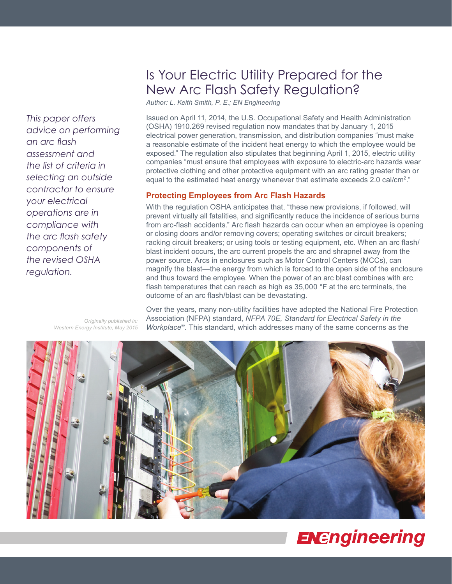# Is Your Electric Utility Prepared for the New Arc Flash Safety Regulation?

*Author: L. Keith Smith, P. E.; EN Engineering*

Issued on April 11, 2014, the U.S. Occupational Safety and Health Administration (OSHA) 1910.269 revised regulation now mandates that by January 1, 2015 electrical power generation, transmission, and distribution companies "must make a reasonable estimate of the incident heat energy to which the employee would be exposed." The regulation also stipulates that beginning April 1, 2015, electric utility companies "must ensure that employees with exposure to electric-arc hazards wear protective clothing and other protective equipment with an arc rating greater than or equal to the estimated heat energy whenever that estimate exceeds 2.0 cal/cm<sup>2</sup>."

#### **Protecting Employees from Arc Flash Hazards**

With the regulation OSHA anticipates that, "these new provisions, if followed, will prevent virtually all fatalities, and significantly reduce the incidence of serious burns from arc-flash accidents." Arc flash hazards can occur when an employee is opening or closing doors and/or removing covers; operating switches or circuit breakers; racking circuit breakers; or using tools or testing equipment, etc. When an arc flash/ blast incident occurs, the arc current propels the arc and shrapnel away from the power source. Arcs in enclosures such as Motor Control Centers (MCCs), can magnify the blast—the energy from which is forced to the open side of the enclosure and thus toward the employee. When the power of an arc blast combines with arc flash temperatures that can reach as high as 35,000 °F at the arc terminals, the outcome of an arc flash/blast can be devastating.

Over the years, many non-utility facilities have adopted the National Fire Protection Association (NFPA) standard, *NFPA 70E, Standard for Electrical Safety in the Workplace®*. This standard, which addresses many of the same concerns as the



# **ENEngineering**

*Originally published in: Western Energy Institute, May 2015*

*advice on performing an arc flash assessment and the list of criteria in selecting an outside contractor to ensure your electrical operations are in compliance with the arc flash safety components of the revised OSHA regulation.* 

*This paper offers*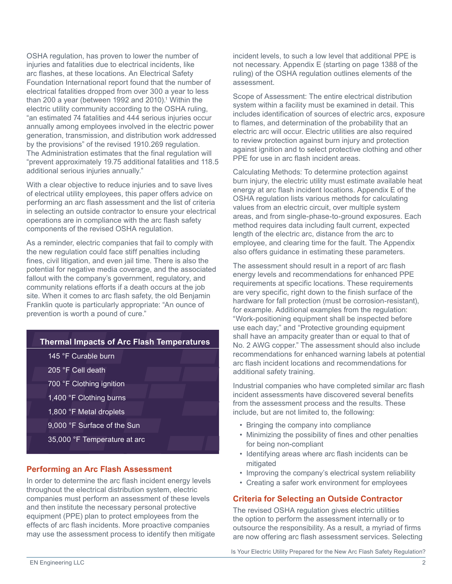OSHA regulation, has proven to lower the number of injuries and fatalities due to electrical incidents, like arc flashes, at these locations. An Electrical Safety Foundation International report found that the number of electrical fatalities dropped from over 300 a year to less than 200 a year (between 1992 and 2010).<sup>1</sup> Within the electric utility community according to the OSHA ruling, "an estimated 74 fatalities and 444 serious injuries occur annually among employees involved in the electric power generation, transmission, and distribution work addressed by the provisions" of the revised 1910.269 regulation. The Administration estimates that the final regulation will "prevent approximately 19.75 additional fatalities and 118.5 additional serious injuries annually."

With a clear objective to reduce injuries and to save lives of electrical utility employees, this paper offers advice on performing an arc flash assessment and the list of criteria in selecting an outside contractor to ensure your electrical operations are in compliance with the arc flash safety components of the revised OSHA regulation.

As a reminder, electric companies that fail to comply with the new regulation could face stiff penalties including fines, civil litigation, and even jail time. There is also the potential for negative media coverage, and the associated fallout with the company's government, regulatory, and community relations efforts if a death occurs at the job site. When it comes to arc flash safety, the old Benjamin Franklin quote is particularly appropriate: "An ounce of prevention is worth a pound of cure."



## **Performing an Arc Flash Assessment**

In order to determine the arc flash incident energy levels throughout the electrical distribution system, electric companies must perform an assessment of these levels and then institute the necessary personal protective equipment (PPE) plan to protect employees from the effects of arc flash incidents. More proactive companies may use the assessment process to identify then mitigate incident levels, to such a low level that additional PPE is not necessary. Appendix E (starting on page 1388 of the ruling) of the OSHA regulation outlines elements of the assessment.

Scope of Assessment: The entire electrical distribution system within a facility must be examined in detail. This includes identification of sources of electric arcs, exposure to flames, and determination of the probability that an electric arc will occur. Electric utilities are also required to review protection against burn injury and protection against ignition and to select protective clothing and other PPE for use in arc flash incident areas.

Calculating Methods: To determine protection against burn injury, the electric utility must estimate available heat energy at arc flash incident locations. Appendix E of the OSHA regulation lists various methods for calculating values from an electric circuit, over multiple system areas, and from single-phase-to-ground exposures. Each method requires data including fault current, expected length of the electric arc, distance from the arc to employee, and clearing time for the fault. The Appendix also offers guidance in estimating these parameters.

The assessment should result in a report of arc flash energy levels and recommendations for enhanced PPE requirements at specific locations. These requirements are very specific, right down to the finish surface of the hardware for fall protection (must be corrosion-resistant), for example. Additional examples from the regulation: "Work-positioning equipment shall be inspected before use each day;" and "Protective grounding equipment shall have an ampacity greater than or equal to that of No. 2 AWG copper." The assessment should also include recommendations for enhanced warning labels at potential arc flash incident locations and recommendations for additional safety training.

Industrial companies who have completed similar arc flash incident assessments have discovered several benefits from the assessment process and the results. These include, but are not limited to, the following:

- Bringing the company into compliance
- Minimizing the possibility of fines and other penalties for being non-compliant
- Identifying areas where arc flash incidents can be mitigated
- Improving the company's electrical system reliability
- Creating a safer work environment for employees

## **Criteria for Selecting an Outside Contractor**

The revised OSHA regulation gives electric utilities the option to perform the assessment internally or to outsource the responsibility. As a result, a myriad of firms are now offering arc flash assessment services. Selecting

Is Your Electric Utility Prepared for the New Arc Flash Safety Regulation?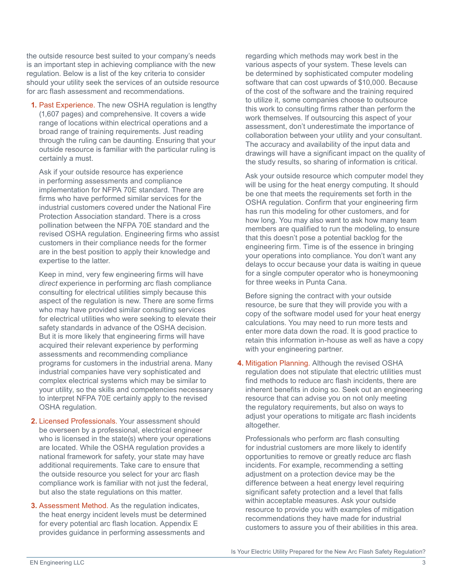the outside resource best suited to your company's needs is an important step in achieving compliance with the new regulation. Below is a list of the key criteria to consider should your utility seek the services of an outside resource for arc flash assessment and recommendations.

**1.** Past Experience. The new OSHA regulation is lengthy (1,607 pages) and comprehensive. It covers a wide range of locations within electrical operations and a broad range of training requirements. Just reading through the ruling can be daunting. Ensuring that your outside resource is familiar with the particular ruling is certainly a must.

 Ask if your outside resource has experience in performing assessments and compliance implementation for NFPA 70E standard. There are firms who have performed similar services for the industrial customers covered under the National Fire Protection Association standard. There is a cross pollination between the NFPA 70E standard and the revised OSHA regulation. Engineering firms who assist customers in their compliance needs for the former are in the best position to apply their knowledge and expertise to the latter.

 Keep in mind, very few engineering firms will have *direct* experience in performing arc flash compliance consulting for electrical utilities simply because this aspect of the regulation is new. There are some firms who may have provided similar consulting services for electrical utilities who were seeking to elevate their safety standards in advance of the OSHA decision. But it is more likely that engineering firms will have acquired their relevant experience by performing assessments and recommending compliance programs for customers in the industrial arena. Many industrial companies have very sophisticated and complex electrical systems which may be similar to your utility, so the skills and competencies necessary to interpret NFPA 70E certainly apply to the revised OSHA regulation.

- **2.** Licensed Professionals. Your assessment should be overseen by a professional, electrical engineer who is licensed in the state(s) where your operations are located. While the OSHA regulation provides a national framework for safety, your state may have additional requirements. Take care to ensure that the outside resource you select for your arc flash compliance work is familiar with not just the federal, but also the state regulations on this matter.
- **3.** Assessment Method. As the regulation indicates, the heat energy incident levels must be determined for every potential arc flash location. Appendix E provides guidance in performing assessments and

regarding which methods may work best in the various aspects of your system. These levels can be determined by sophisticated computer modeling software that can cost upwards of \$10,000. Because of the cost of the software and the training required to utilize it, some companies choose to outsource this work to consulting firms rather than perform the work themselves. If outsourcing this aspect of your assessment, don't underestimate the importance of collaboration between your utility and your consultant. The accuracy and availability of the input data and drawings will have a significant impact on the quality of the study results, so sharing of information is critical.

 Ask your outside resource which computer model they will be using for the heat energy computing. It should be one that meets the requirements set forth in the OSHA regulation. Confirm that your engineering firm has run this modeling for other customers, and for how long. You may also want to ask how many team members are qualified to run the modeling, to ensure that this doesn't pose a potential backlog for the engineering firm. Time is of the essence in bringing your operations into compliance. You don't want any delays to occur because your data is waiting in queue for a single computer operator who is honeymooning for three weeks in Punta Cana.

 Before signing the contract with your outside resource, be sure that they will provide you with a copy of the software model used for your heat energy calculations. You may need to run more tests and enter more data down the road. It is good practice to retain this information in-house as well as have a copy with your engineering partner.

**4.** Mitigation Planning. Although the revised OSHA regulation does not stipulate that electric utilities must find methods to reduce arc flash incidents, there are inherent benefits in doing so. Seek out an engineering resource that can advise you on not only meeting the regulatory requirements, but also on ways to adjust your operations to mitigate arc flash incidents altogether.

 Professionals who perform arc flash consulting for industrial customers are more likely to identify opportunities to remove or greatly reduce arc flash incidents. For example, recommending a setting adjustment on a protection device may be the difference between a heat energy level requiring significant safety protection and a level that falls within acceptable measures. Ask your outside resource to provide you with examples of mitigation recommendations they have made for industrial customers to assure you of their abilities in this area.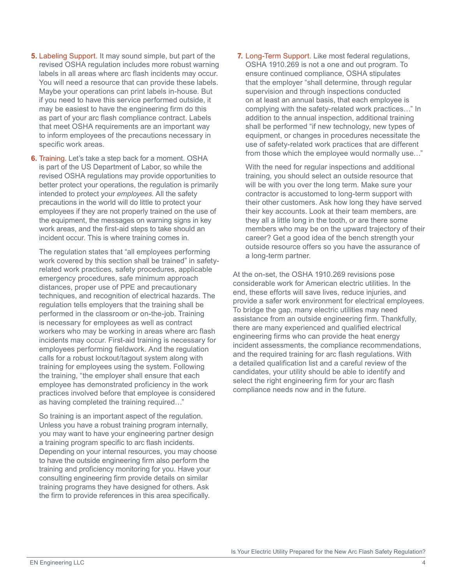- **5.** Labeling Support. It may sound simple, but part of the revised OSHA regulation includes more robust warning labels in all areas where arc flash incidents may occur. You will need a resource that can provide these labels. Maybe your operations can print labels in-house. But if you need to have this service performed outside, it may be easiest to have the engineering firm do this as part of your arc flash compliance contract. Labels that meet OSHA requirements are an important way to inform employees of the precautions necessary in specific work areas.
- **6.** Training. Let's take a step back for a moment. OSHA is part of the US Department of Labor, so while the revised OSHA regulations may provide opportunities to better protect your operations, the regulation is primarily intended to protect your *employees*. All the safety precautions in the world will do little to protect your employees if they are not properly trained on the use of the equipment, the messages on warning signs in key work areas, and the first-aid steps to take should an incident occur. This is where training comes in.

 The regulation states that "all employees performing work covered by this section shall be trained" in safetyrelated work practices, safety procedures, applicable emergency procedures, safe minimum approach distances, proper use of PPE and precautionary techniques, and recognition of electrical hazards. The regulation tells employers that the training shall be performed in the classroom or on-the-job. Training is necessary for employees as well as contract workers who may be working in areas where arc flash incidents may occur. First-aid training is necessary for employees performing fieldwork. And the regulation calls for a robust lockout/tagout system along with training for employees using the system. Following the training, "the employer shall ensure that each employee has demonstrated proficiency in the work practices involved before that employee is considered as having completed the training required…"

 So training is an important aspect of the regulation. Unless you have a robust training program internally, you may want to have your engineering partner design a training program specific to arc flash incidents. Depending on your internal resources, you may choose to have the outside engineering firm also perform the training and proficiency monitoring for you. Have your consulting engineering firm provide details on similar training programs they have designed for others. Ask the firm to provide references in this area specifically.

**7.** Long-Term Support. Like most federal regulations, OSHA 1910.269 is not a one and out program. To ensure continued compliance, OSHA stipulates that the employer "shall determine, through regular supervision and through inspections conducted on at least an annual basis, that each employee is complying with the safety-related work practices…" In addition to the annual inspection, additional training shall be performed "if new technology, new types of equipment, or changes in procedures necessitate the use of safety-related work practices that are different from those which the employee would normally use…"

 With the need for regular inspections and additional training, you should select an outside resource that will be with you over the long term. Make sure your contractor is accustomed to long-term support with their other customers. Ask how long they have served their key accounts. Look at their team members, are they all a little long in the tooth, or are there some members who may be on the upward trajectory of their career? Get a good idea of the bench strength your outside resource offers so you have the assurance of a long-term partner.

At the on-set, the OSHA 1910.269 revisions pose considerable work for American electric utilities. In the end, these efforts will save lives, reduce injuries, and provide a safer work environment for electrical employees. To bridge the gap, many electric utilities may need assistance from an outside engineering firm. Thankfully, there are many experienced and qualified electrical engineering firms who can provide the heat energy incident assessments, the compliance recommendations, and the required training for arc flash regulations. With a detailed qualification list and a careful review of the candidates, your utility should be able to identify and select the right engineering firm for your arc flash compliance needs now and in the future.